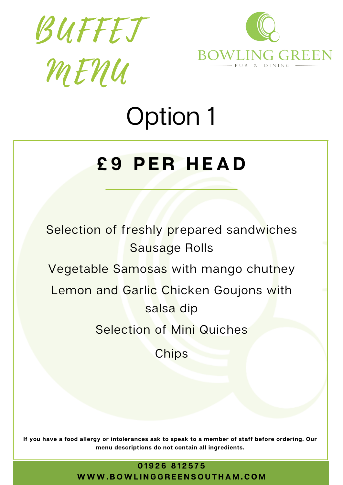



### **£ 9 P E R H E A D**

Selection of freshly prepared sandwiches Sausage Rolls Vegetable Samosas with mango chutney Lemon and Garlic Chicken Goujons with salsa dip Selection of Mini Quiches **Chips** 

If you have a food allergy or intolerances ask to speak to a member of staff before ordering. Our **menu descriptions do not contain all ingredients.**

**0 1 9 2 6 8 1 2 5 7 5**

WWW.BOWLINGGREENSOUTHAM.COM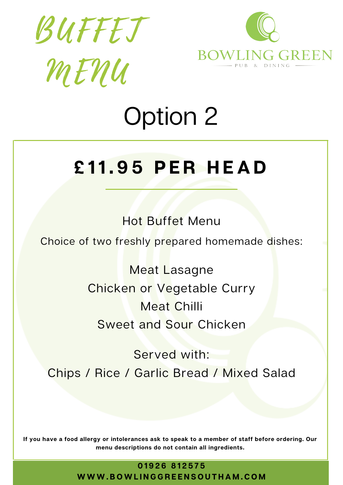



## **£ 11. 9 5 P E R H E A D**

Hot Buffet Menu

Choice of two freshly prepared homemade dishes:

Meat Lasagne Chicken or Vegetable Curry Meat Chilli Sweet and Sour Chicken

Served with: Chips / Rice / Garlic Bread / Mixed Salad

If you have a food allergy or intolerances ask to speak to a member of staff before ordering. Our **menu descriptions do not contain all ingredients.**

> **0 1 9 2 6 8 1 2 5 7 5** WWW.BOWLINGGREENSOUTHAM.COM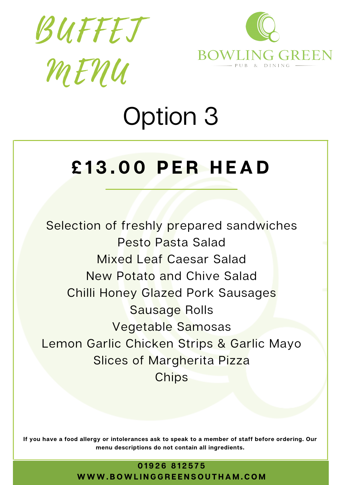



#### **£ 1 3 . 0 0 P E R H E A D**

Selection of freshly prepared sandwiches Pesto Pasta Salad Mixed Leaf Caesar Salad New Potato and Chive Salad Chilli Honey Glazed Pork Sausages Sausage Rolls Vegetable Samosas Lemon Garlic Chicken Strips & Garlic Mayo Slices of Margherita Pizza **Chips** 

If you have a food allergy or intolerances ask to speak to a member of staff before ordering. Our **menu descriptions do not contain all ingredients.**

**0 1 9 2 6 8 1 2 5 7 5**

#### WWW.BOWLINGGREENSOUTHAM.COM